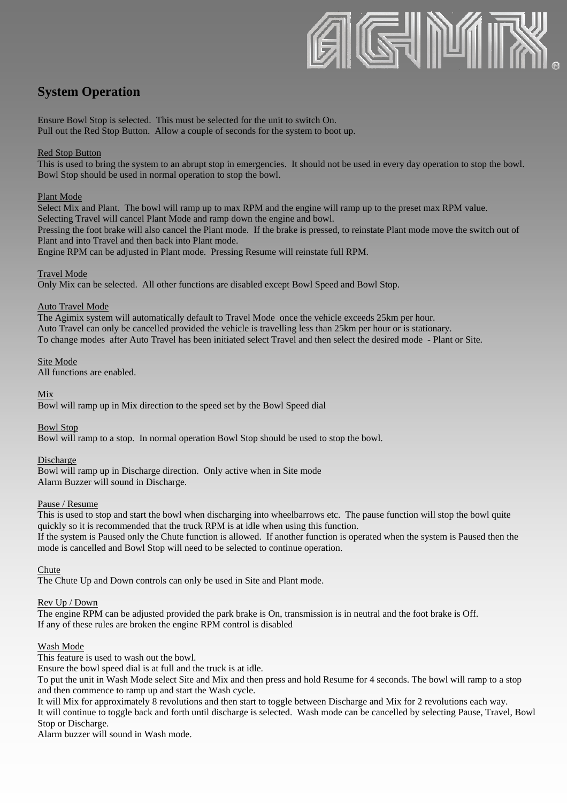

# **System Operation**

Ensure Bowl Stop is selected. This must be selected for the unit to switch On. Pull out the Red Stop Button. Allow a couple of seconds for the system to boot up.

# Red Stop Button

This is used to bring the system to an abrupt stop in emergencies. It should not be used in every day operation to stop the bowl. Bowl Stop should be used in normal operation to stop the bowl.

#### Plant Mode

Select Mix and Plant. The bowl will ramp up to max RPM and the engine will ramp up to the preset max RPM value. Selecting Travel will cancel Plant Mode and ramp down the engine and bowl.

Pressing the foot brake will also cancel the Plant mode. If the brake is pressed, to reinstate Plant mode move the switch out of Plant and into Travel and then back into Plant mode.

Engine RPM can be adjusted in Plant mode. Pressing Resume will reinstate full RPM.

#### Travel Mode

Only Mix can be selected. All other functions are disabled except Bowl Speed and Bowl Stop.

#### Auto Travel Mode

The Agimix system will automatically default to Travel Mode once the vehicle exceeds 25km per hour. Auto Travel can only be cancelled provided the vehicle is travelling less than 25km per hour or is stationary. To change modes after Auto Travel has been initiated select Travel and then select the desired mode - Plant or Site.

Site Mode

All functions are enabled.

Mix

Bowl will ramp up in Mix direction to the speed set by the Bowl Speed dial

Bowl Stop

Bowl will ramp to a stop. In normal operation Bowl Stop should be used to stop the bowl.

#### Discharge

Bowl will ramp up in Discharge direction. Only active when in Site mode Alarm Buzzer will sound in Discharge.

#### Pause / Resume

This is used to stop and start the bowl when discharging into wheelbarrows etc. The pause function will stop the bowl quite quickly so it is recommended that the truck RPM is at idle when using this function. If the system is Paused only the Chute function is allowed. If another function is operated when the system is Paused then the

mode is cancelled and Bowl Stop will need to be selected to continue operation.

**Chute** 

The Chute Up and Down controls can only be used in Site and Plant mode.

#### Rev Up / Down

The engine RPM can be adjusted provided the park brake is On, transmission is in neutral and the foot brake is Off. If any of these rules are broken the engine RPM control is disabled

#### Wash Mode

This feature is used to wash out the bowl.

Ensure the bowl speed dial is at full and the truck is at idle.

To put the unit in Wash Mode select Site and Mix and then press and hold Resume for 4 seconds. The bowl will ramp to a stop and then commence to ramp up and start the Wash cycle.

It will Mix for approximately 8 revolutions and then start to toggle between Discharge and Mix for 2 revolutions each way. It will continue to toggle back and forth until discharge is selected. Wash mode can be cancelled by selecting Pause, Travel, Bowl Stop or Discharge.

Alarm buzzer will sound in Wash mode.